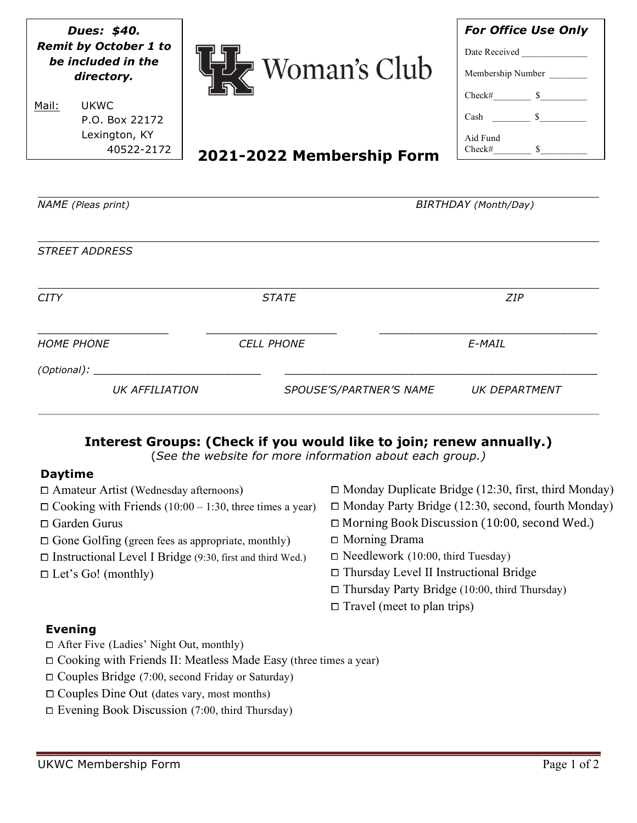| Dues: \$40.<br><b>Remit by October 1 to</b><br>be included in the<br>directory. | $\triangleright$ Woman's Club | <b>For Office Use Only</b><br>Date Received<br>Membership Number<br>$Check#$ $$$ |
|---------------------------------------------------------------------------------|-------------------------------|----------------------------------------------------------------------------------|
| <b>UKWC</b><br>Mail:<br>P.O. Box 22172<br>Lexington, KY<br>40522-2172           | 2021-2022 Membership Form     | Cash $\frac{\ }{\ }$ $\frac{\ }{\ }$<br>Aid Fund<br>$Check#$ $$$                 |
| <b>NAME</b> (Pleas print)<br>BIRTHDAY (Month/Day)                               |                               |                                                                                  |
| <b>STREET ADDRESS</b>                                                           |                               |                                                                                  |
| <b>CITY</b>                                                                     | <b>STATE</b>                  | ZIP                                                                              |
| <b>HOME PHONE</b><br>(Optional):                                                | <b>CELL PHONE</b>             | E-MAIL                                                                           |
| <b>UK AFFILIATION</b>                                                           | SPOUSE'S/PARTNER'S NAME       | UK DEPARTMENT                                                                    |

# **Interest Groups: (Check if you would like to join; renew annually.)**

(*See the website for more information about each group.)*

# **Daytime**

| $\Box$ Amateur Artist (Wednesday afternoons)                     | $\Box$ Monday Duplicate Bridge (12:30, first, third Monday) |  |
|------------------------------------------------------------------|-------------------------------------------------------------|--|
| $\Box$ Cooking with Friends (10:00 – 1:30, three times a year)   | $\Box$ Monday Party Bridge (12:30, second, fourth Monday)   |  |
| $\Box$ Garden Gurus                                              | $\Box$ Morning Book Discussion (10:00, second Wed.)         |  |
| $\Box$ Gone Golfing (green fees as appropriate, monthly)         | $\Box$ Morning Drama                                        |  |
| $\Box$ Instructional Level I Bridge (9:30, first and third Wed.) | $\Box$ Needlework (10:00, third Tuesday)                    |  |
| $\Box$ Let's Go! (monthly)                                       | $\Box$ Thursday Level II Instructional Bridge               |  |
|                                                                  | $\Box$ Thursday Party Bridge (10:00, third Thursday)        |  |
|                                                                  | $\Box$ Travel (meet to plan trips)                          |  |
|                                                                  |                                                             |  |

# **Evening**

- ⧠ After Five (Ladies' Night Out, monthly)
- ⧠ Cooking with Friends II: Meatless Made Easy (three times a year)
- ⧠ Couples Bridge (7:00, second Friday or Saturday)
- ⧠ Couples Dine Out (dates vary, most months)
- ⧠ Evening Book Discussion (7:00, third Thursday)